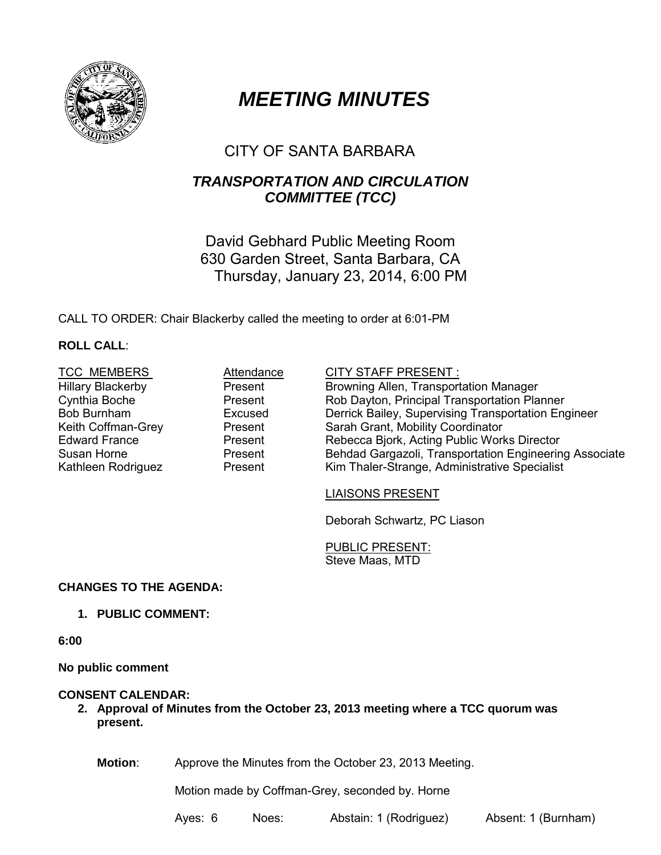

# *MEETING MINUTES*

# CITY OF SANTA BARBARA

# *TRANSPORTATION AND CIRCULATION COMMITTEE (TCC)*

David Gebhard Public Meeting Room 630 Garden Street, Santa Barbara, CA Thursday, January 23, 2014, 6:00 PM

CALL TO ORDER: Chair Blackerby called the meeting to order at 6:01-PM

# **ROLL CALL**:

| <b>TCC MEMBERS</b>       | Attendance | <b>CITY STAFF PRESENT:</b>                             |
|--------------------------|------------|--------------------------------------------------------|
| <b>Hillary Blackerby</b> | Present    | Browning Allen, Transportation Manager                 |
| Cynthia Boche            | Present    | Rob Dayton, Principal Transportation Planner           |
| Bob Burnham              | Excused    | Derrick Bailey, Supervising Transportation Engineer    |
| Keith Coffman-Grey       | Present    | Sarah Grant, Mobility Coordinator                      |
| <b>Edward France</b>     | Present    | Rebecca Bjork, Acting Public Works Director            |
| Susan Horne              | Present    | Behdad Gargazoli, Transportation Engineering Associate |
| Kathleen Rodriguez       | Present    | Kim Thaler-Strange, Administrative Specialist          |

#### LIAISONS PRESENT

Deborah Schwartz, PC Liason

PUBLIC PRESENT: Steve Maas, MTD

### **CHANGES TO THE AGENDA:**

## **1. PUBLIC COMMENT:**

**6:00**

**No public comment**

## **CONSENT CALENDAR:**

**2. Approval of Minutes from the October 23, 2013 meeting where a TCC quorum was present.** 

**Motion**: Approve the Minutes from the October 23, 2013 Meeting.

Motion made by Coffman-Grey, seconded by. Horne

Ayes: 6 Noes: Abstain: 1 (Rodriguez) Absent: 1 (Burnham)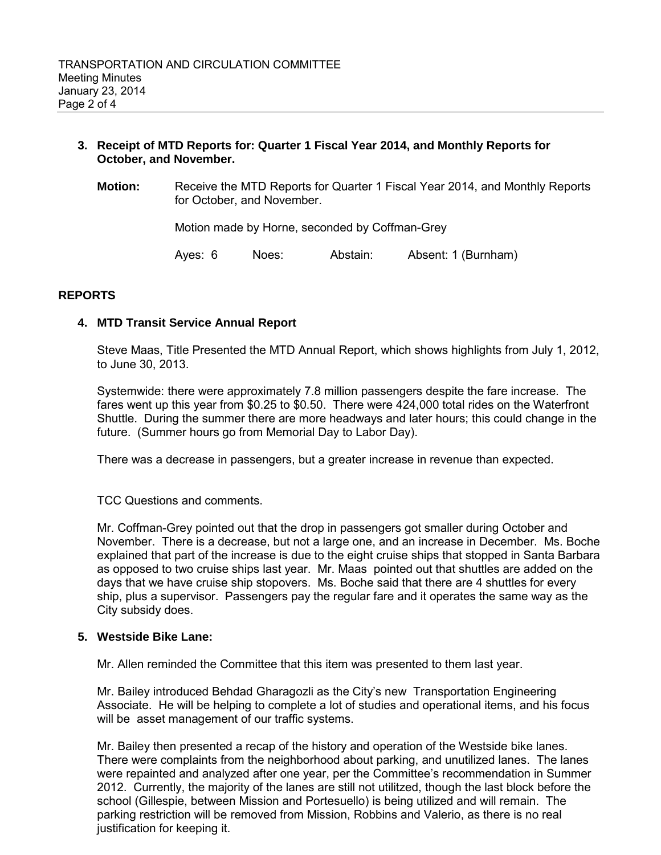#### **3. Receipt of MTD Reports for: Quarter 1 Fiscal Year 2014, and Monthly Reports for October, and November.**

**Motion:** Receive the MTD Reports for Quarter 1 Fiscal Year 2014, and Monthly Reports for October, and November.

Motion made by Horne, seconded by Coffman-Grey

Ayes: 6 Noes: Abstain: Absent: 1 (Burnham)

#### **REPORTS**

#### **4. MTD Transit Service Annual Report**

Steve Maas, Title Presented the MTD Annual Report, which shows highlights from July 1, 2012, to June 30, 2013.

Systemwide: there were approximately 7.8 million passengers despite the fare increase. The fares went up this year from \$0.25 to \$0.50. There were 424,000 total rides on the Waterfront Shuttle. During the summer there are more headways and later hours; this could change in the future. (Summer hours go from Memorial Day to Labor Day).

There was a decrease in passengers, but a greater increase in revenue than expected.

TCC Questions and comments.

Mr. Coffman-Grey pointed out that the drop in passengers got smaller during October and November. There is a decrease, but not a large one, and an increase in December. Ms. Boche explained that part of the increase is due to the eight cruise ships that stopped in Santa Barbara as opposed to two cruise ships last year. Mr. Maas pointed out that shuttles are added on the days that we have cruise ship stopovers. Ms. Boche said that there are 4 shuttles for every ship, plus a supervisor. Passengers pay the regular fare and it operates the same way as the City subsidy does.

#### **5. Westside Bike Lane:**

Mr. Allen reminded the Committee that this item was presented to them last year.

Mr. Bailey introduced Behdad Gharagozli as the City's new Transportation Engineering Associate. He will be helping to complete a lot of studies and operational items, and his focus will be asset management of our traffic systems.

Mr. Bailey then presented a recap of the history and operation of the Westside bike lanes. There were complaints from the neighborhood about parking, and unutilized lanes. The lanes were repainted and analyzed after one year, per the Committee's recommendation in Summer 2012. Currently, the majority of the lanes are still not utilitzed, though the last block before the school (Gillespie, between Mission and Portesuello) is being utilized and will remain. The parking restriction will be removed from Mission, Robbins and Valerio, as there is no real justification for keeping it.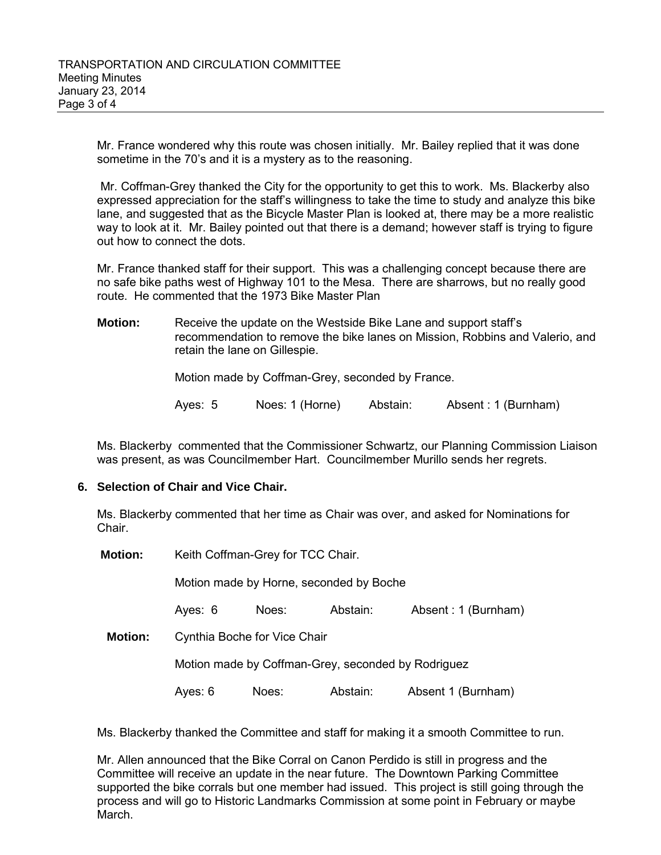Mr. France wondered why this route was chosen initially. Mr. Bailey replied that it was done sometime in the 70's and it is a mystery as to the reasoning.

Mr. Coffman-Grey thanked the City for the opportunity to get this to work. Ms. Blackerby also expressed appreciation for the staff's willingness to take the time to study and analyze this bike lane, and suggested that as the Bicycle Master Plan is looked at, there may be a more realistic way to look at it. Mr. Bailey pointed out that there is a demand; however staff is trying to figure out how to connect the dots.

Mr. France thanked staff for their support. This was a challenging concept because there are no safe bike paths west of Highway 101 to the Mesa. There are sharrows, but no really good route. He commented that the 1973 Bike Master Plan

**Motion:** Receive the update on the Westside Bike Lane and support staff's recommendation to remove the bike lanes on Mission, Robbins and Valerio, and retain the lane on Gillespie.

Motion made by Coffman-Grey, seconded by France.

Ayes: 5 Noes: 1 (Horne) Abstain: Absent : 1 (Burnham)

Ms. Blackerby commented that the Commissioner Schwartz, our Planning Commission Liaison was present, as was Councilmember Hart. Councilmember Murillo sends her regrets.

### **6. Selection of Chair and Vice Chair.**

Ms. Blackerby commented that her time as Chair was over, and asked for Nominations for Chair.

**Motion:** Keith Coffman-Grey for TCC Chair.

Motion made by Horne, seconded by Boche

Ayes: 6 Noes: Abstain: Absent : 1 (Burnham)

**Motion:** Cynthia Boche for Vice Chair

Motion made by Coffman-Grey, seconded by Rodriguez

Ayes: 6 Noes: Abstain: Absent 1 (Burnham)

Ms. Blackerby thanked the Committee and staff for making it a smooth Committee to run.

Mr. Allen announced that the Bike Corral on Canon Perdido is still in progress and the Committee will receive an update in the near future. The Downtown Parking Committee supported the bike corrals but one member had issued. This project is still going through the process and will go to Historic Landmarks Commission at some point in February or maybe March.